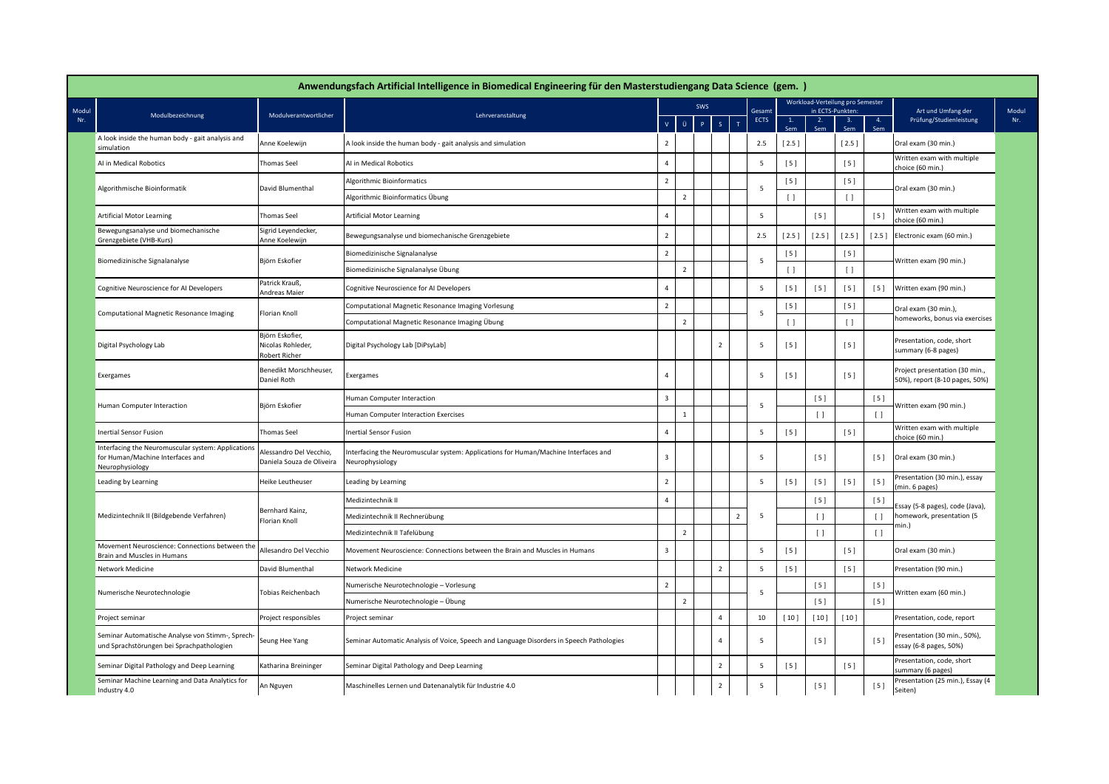|                                                                                                           |                                                       | Anwendungsfach Artificial Intelligence in Biomedical Engineering für den Masterstudiengang Data Science (gem.) |                         |                      |                |                  |             |           |                 |                                                      |                    |                                                                  |
|-----------------------------------------------------------------------------------------------------------|-------------------------------------------------------|----------------------------------------------------------------------------------------------------------------|-------------------------|----------------------|----------------|------------------|-------------|-----------|-----------------|------------------------------------------------------|--------------------|------------------------------------------------------------------|
| Modul<br>Modulbezeichnung<br>Nr.                                                                          | Modulverantwortlicher                                 | Lehrveranstaltung                                                                                              |                         | <b>SWS</b><br>Gesamt |                |                  |             |           |                 | Workload-Verteilung pro Semester<br>in ECTS-Punkten: | Art und Umfang der |                                                                  |
|                                                                                                           |                                                       |                                                                                                                | $\bar{\mathbf{V}}$      | $\ddot{\mathbf{U}}$  | $\mathsf{P}$   | S<br>$\mathbf T$ | <b>ECTS</b> | 1.<br>Sem | 2.              | 3.                                                   | 4.                 | Prüfung/Studienleistung                                          |
| A look inside the human body - gait analysis and<br>simulation                                            | Anne Koelewijn                                        | A look inside the human body - gait analysis and simulation                                                    | $\overline{2}$          |                      |                |                  | 2.5         | [2.5]     |                 | $[2.5]$                                              |                    | Oral exam (30 min.)                                              |
| Al in Medical Robotics                                                                                    | Thomas Seel                                           | AI in Medical Robotics                                                                                         | $\overline{4}$          |                      |                |                  | 5           | [5]       |                 | [5]                                                  |                    | Written exam with multiple<br>choice (60 min.)                   |
|                                                                                                           |                                                       | <b>Algorithmic Bioinformatics</b>                                                                              | $\overline{2}$          |                      |                |                  |             | [5]       |                 | $[5]$                                                |                    |                                                                  |
| Algorithmische Bioinformatik                                                                              | David Blumenthal                                      | Algorithmic Bioinformatics Übung                                                                               |                         | $\overline{2}$       |                |                  | 5           | $\Box$    |                 | $\lceil$                                             |                    | Oral exam (30 min.)                                              |
| <b>Artificial Motor Learning</b>                                                                          | <b>Thomas Seel</b>                                    | Artificial Motor Learning                                                                                      | $\overline{4}$          |                      |                |                  | 5           |           | $[5]$           |                                                      | [5]                | Written exam with multiple<br>choice (60 min.)                   |
| Bewegungsanalyse und biomechanische<br>Grenzgebiete (VHB-Kurs)                                            | Sigrid Leyendecker,<br>Anne Koelewijn                 | Bewegungsanalyse und biomechanische Grenzgebiete                                                               | $\overline{2}$          |                      |                |                  | 2.5         | $[2.5]$   | $[2.5]$         | [2.5]                                                | $[2.5]$            | Electronic exam (60 min.)                                        |
|                                                                                                           |                                                       | Biomedizinische Signalanalyse                                                                                  | $\overline{2}$          |                      |                |                  |             | $[5]$     |                 | [5]                                                  |                    | Written exam (90 min.)                                           |
| Biomedizinische Signalanalyse                                                                             | Björn Eskofier                                        | Biomedizinische Signalanalyse Übung                                                                            |                         | $\overline{2}$       |                |                  | 5           | $\Box$    |                 | $\lceil$                                             |                    |                                                                  |
| Cognitive Neuroscience for AI Developers                                                                  | Patrick Krauß<br>Andreas Maier                        | Cognitive Neuroscience for AI Developers                                                                       | $\overline{4}$          |                      |                |                  | 5           | $[5]$     | $[5]$           | $[5]$                                                | $[5]$              | Written exam (90 min.)                                           |
| Computational Magnetic Resonance Imaging                                                                  |                                                       | Computational Magnetic Resonance Imaging Vorlesung                                                             | $\overline{2}$          |                      |                |                  |             | [5]       |                 | [5]                                                  |                    | Oral exam (30 min.),                                             |
|                                                                                                           | Florian Knoll                                         | Computational Magnetic Resonance Imaging Übung                                                                 |                         | $\overline{2}$       |                |                  | 5           | $\Box$    |                 | $\lceil$                                             |                    | homeworks, bonus via exercises                                   |
| Digital Psychology Lab                                                                                    | Björn Eskofier,<br>Nicolas Rohleder,<br>Robert Richer | Digital Psychology Lab [DiPsyLab]                                                                              |                         |                      | $\overline{2}$ |                  | 5           | [5]       |                 | $[5]$                                                |                    | Presentation, code, short<br>summary (6-8 pages)                 |
| Exergames                                                                                                 | Benedikt Morschheuser,<br>Daniel Roth                 | <b>Exergames</b>                                                                                               | $\overline{4}$          |                      |                |                  | 5           | [5]       |                 | [5]                                                  |                    | Project presentation (30 min.,<br>50%), report (8-10 pages, 50%) |
| Human Computer Interaction                                                                                | Björn Eskofier                                        | Iuman Computer Interaction                                                                                     | $\overline{\mathbf{3}}$ |                      |                |                  | 5           |           | [5]             |                                                      | $[5]$              | Written exam (90 min.)                                           |
|                                                                                                           |                                                       | Iuman Computer Interaction Exercises                                                                           |                         | $\mathbf{1}$         |                |                  |             |           | $\Box$          | $\Box$                                               |                    |                                                                  |
| <b>Inertial Sensor Fusion</b>                                                                             | Thomas Seel                                           | nertial Sensor Fusion                                                                                          | $\overline{a}$          |                      |                |                  | 5           | [5]       |                 | [5]                                                  |                    | Written exam with multiple<br>choice (60 min.)                   |
| Interfacing the Neuromuscular system: Applications<br>for Human/Machine Interfaces and<br>Neurophysiology | Alessandro Del Vecchio.<br>Daniela Souza de Oliveira  | nterfacing the Neuromuscular system: Applications for Human/Machine Interfaces and<br><b>Neurophysiology</b>   | $\overline{3}$          |                      |                |                  | 5           |           | [5]             |                                                      | [5]                | Oral exam (30 min.)                                              |
| Leading by Learning                                                                                       | Heike Leutheuser                                      | eading by Learning                                                                                             | $\overline{2}$          |                      |                |                  | 5           | [5]       | [5]             | [5]                                                  | $[5]$              | Presentation (30 min.), essay<br>min. 6 pages)                   |
|                                                                                                           |                                                       | Medizintechnik II                                                                                              | $\overline{4}$          |                      |                |                  |             |           | [5]             |                                                      | $[5]$              | Essay (5-8 pages), code (Java),                                  |
| Medizintechnik II (Bildgebende Verfahren)                                                                 | Bernhard Kainz,<br>Florian Knoll                      | Medizintechnik II Rechnerübung                                                                                 |                         |                      |                | $\overline{2}$   | 5           |           | $\left[\right]$ |                                                      | $\Box$             | homework, presentation (5                                        |
|                                                                                                           |                                                       | Medizintechnik II Tafelübung                                                                                   |                         | $\overline{2}$       |                |                  |             | $\Box$    |                 | $\Box$                                               | min.)              |                                                                  |
| Movement Neuroscience: Connections between the<br>Brain and Muscles in Humans                             | Allesandro Del Vecchio                                | Movement Neuroscience: Connections between the Brain and Muscles in Humans                                     | $\overline{\mathbf{3}}$ |                      |                |                  | 5           | [5]       |                 | $[5]$                                                |                    | Oral exam (30 min.)                                              |
| Network Medicine                                                                                          | David Blumenthal                                      | Network Medicine                                                                                               |                         |                      | $\overline{2}$ |                  | 5           | [5]       |                 | [5]                                                  |                    | Presentation (90 min.)                                           |
| Numerische Neurotechnologie                                                                               | Tobias Reichenbach                                    | Numerische Neurotechnologie - Vorlesung                                                                        | $\overline{2}$          |                      |                |                  | -5          |           | [5]             |                                                      | $[5]$              | Written exam (60 min.)                                           |
|                                                                                                           |                                                       | Numerische Neurotechnologie – Übung                                                                            |                         | $\overline{2}$       |                |                  |             |           | [5]             |                                                      | $[5]$              |                                                                  |
| Project seminar                                                                                           | Project responsibles                                  | Project seminar                                                                                                |                         |                      | 4              |                  | 10          | [10]      | [10]            | [10]                                                 |                    | Presentation, code, report                                       |
| Seminar Automatische Analyse von Stimm-, Sprech-<br>und Sprachstörungen bei Sprachpathologien             | Seung Hee Yang                                        | Seminar Automatic Analysis of Voice, Speech and Language Disorders in Speech Pathologies                       |                         |                      | $\overline{4}$ |                  | 5           |           | [5]             |                                                      | $[5]$              | Presentation (30 min., 50%),<br>essay (6-8 pages, 50%)           |
| Seminar Digital Pathology and Deep Learning                                                               | Katharina Breininger                                  | Seminar Digital Pathology and Deep Learning                                                                    |                         |                      | $\overline{2}$ |                  | 5           | [5]       |                 | [5]                                                  |                    | Presentation, code, short<br>summary (6 pages)                   |
| Seminar Machine Learning and Data Analytics for<br>Industry 4.0                                           | An Nguyen                                             | Maschinelles Lernen und Datenanalytik für Industrie 4.0                                                        |                         |                      | $\overline{2}$ |                  | 5           |           | [5]             |                                                      | $[5]$              | Presentation (25 min.), Essay (4<br>Seiten)                      |